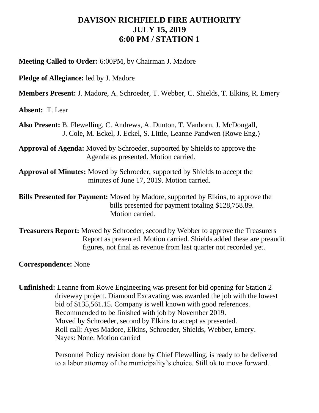## **DAVISON RICHFIELD FIRE AUTHORITY JULY 15, 2019 6:00 PM / STATION 1**

**Meeting Called to Order:** 6:00PM, by Chairman J. Madore

**Pledge of Allegiance:** led by J. Madore

**Members Present:** J. Madore, A. Schroeder, T. Webber, C. Shields, T. Elkins, R. Emery

**Absent:** T. Lear

**Also Present:** B. Flewelling, C. Andrews, A. Dunton, T. Vanhorn, J. McDougall, J. Cole, M. Eckel, J. Eckel, S. Little, Leanne Pandwen (Rowe Eng.)

**Approval of Agenda:** Moved by Schroeder, supported by Shields to approve the Agenda as presented. Motion carried.

**Approval of Minutes:** Moved by Schroeder, supported by Shields to accept the minutes of June 17, 2019. Motion carried.

**Bills Presented for Payment:** Moved by Madore, supported by Elkins, to approve the bills presented for payment totaling \$128,758.89. Motion carried.

**Treasurers Report:** Moved by Schroeder, second by Webber to approve the Treasurers Report as presented. Motion carried. Shields added these are preaudit figures, not final as revenue from last quarter not recorded yet.

**Correspondence:** None

**Unfinished:** Leanne from Rowe Engineering was present for bid opening for Station 2 driveway project. Diamond Excavating was awarded the job with the lowest bid of \$135,561.15. Company is well known with good references. Recommended to be finished with job by November 2019. Moved by Schroeder, second by Elkins to accept as presented. Roll call: Ayes Madore, Elkins, Schroeder, Shields, Webber, Emery. Nayes: None. Motion carried

> Personnel Policy revision done by Chief Flewelling, is ready to be delivered to a labor attorney of the municipality's choice. Still ok to move forward.